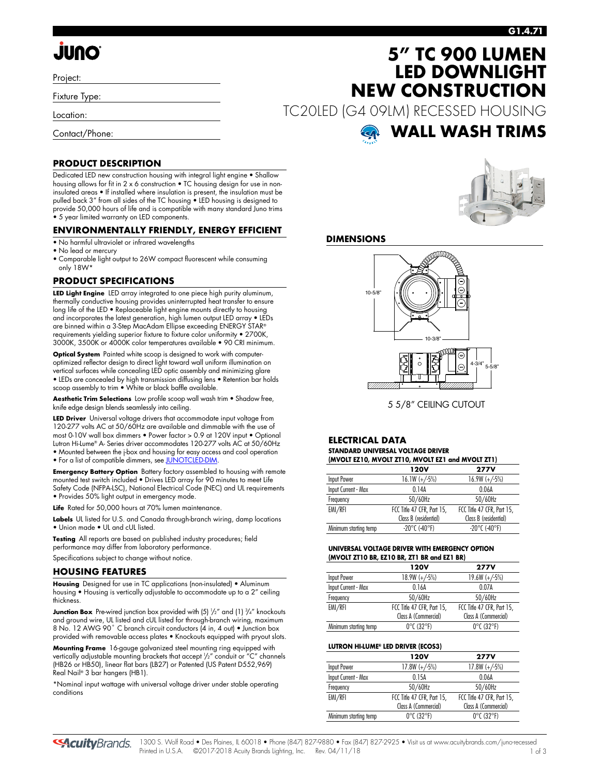# **JUNO**

Project:

Fixture Type:

Location:

Contact/Phone:

### **G1.4.71**

# **5" TC 900 LUMEN LED DOWNLIGHT NEW CONSTRUCTION**

TC20LED (G4 09LM) RECESSED HOUSING

# **WALL WASH TRIMS**

### **PRODUCT DESCRIPTION**

Dedicated LED new construction housing with integral light engine • Shallow housing allows for fit in 2 x 6 construction • TC housing design for use in noninsulated areas • If installed where insulation is present, the insulation must be pulled back 3" from all sides of the TC housing • LED housing is designed to provide 50,000 hours of life and is compatible with many standard Juno trims • 5 year limited warranty on LED components.

### **ENVIRONMENTALLY FRIENDLY, ENERGY EFFICIENT**

- No harmful ultraviolet or infrared wavelengths
- No lead or mercury
- Comparable light output to 26W compact fluorescent while consuming only 18W\*

### **PRODUCT SPECIFICATIONS**

**LED Light Engine** LED array integrated to one piece high purity aluminum, thermally conductive housing provides uninterrupted heat transfer to ensure long life of the LED • Replaceable light engine mounts directly to housing and incorporates the latest generation, high lumen output LED array • LEDs are binned within a 3-Step MacAdam Ellipse exceeding ENERGY STAR® requirements yielding superior fixture to fixture color uniformity • 2700K, 3000K, 3500K or 4000K color temperatures available • 90 CRI minimum.

**Optical System** Painted white scoop is designed to work with computeroptimized reflector design to direct light toward wall uniform illumination on vertical surfaces while concealing LED optic assembly and minimizing glare • LEDs are concealed by high transmission diffusing lens • Retention bar holds scoop assembly to trim . White or black baffle available.

**Aesthetic Trim Selections** Low profile scoop wall wash trim • Shadow free, knife edge design blends seamlessly into ceiling.

**LED Driver** Universal voltage drivers that accommodate input voltage from 120-277 volts AC at 50/60Hz are available and dimmable with the use of most 0-10V wall box dimmers • Power factor > 0.9 at 120V input • Optional Lutron Hi-Lume® A- Series driver accommodates 120-277 volts AC at 50/60Hz • Mounted between the j-box and housing for easy access and cool operation • For a list of compatible dimmers, se[e JUNOTCLED-DIM.](http://www.acuitybrands.com/shell/-/media/Files/Acuity/Other/JUNOTCLED-DIM.pdf)

**Emergency Battery Option** Battery factory assembled to housing with remote mounted test switch included • Drives LED array for 90 minutes to meet Life Safety Code (NFPA-LSC), National Electrical Code (NEC) and UL requirements • Provides 50% light output in emergency mode.

**Life** Rated for 50,000 hours at 70% lumen maintenance.

**Labels** UL listed for U.S. and Canada through-branch wiring, damp locations • Union made • UL and cUL listed.

**Testing** All reports are based on published industry procedures; field performance may differ from laboratory performance.

Specifications subject to change without notice.

#### **HOUSING FEATURES**

**Housing** Designed for use in TC applications (non-insulated) • Aluminum housing • Housing is vertically adjustable to accommodate up to a 2" ceiling thickness.

**Junction Box** Pre-wired junction box provided with (5) '/2" and (1) <sup>3</sup>/4" knockouts and ground wire, UL listed and cUL listed for through-branch wiring, maximum 8 No. 12 AWG 90° C branch circuit conductors (4 in, 4 out) • Junction box provided with removable access plates • Knockouts equipped with pryout slots.

**Mounting Frame** 16-gauge galvanized steel mounting ring equipped with vertically adjustable mounting brackets that accept 1 /2" conduit or "C" channels (HB26 or HB50), linear flat bars (LB27) or Patented (US Patent D552,969) Real Nail® 3 bar hangers (HB1).

\*Nominal input wattage with universal voltage driver under stable operating conditions



### **DIMENSIONS**



5 5/8" CEILING CUTOUT

#### **ELECTRICAL DATA STANDARD UNIVERSAL VOLTAGE DRIVER (MVOLT EZ10, MVOLT ZT10, MVOLT EZ1 and MVOLT ZT1)**

| $(III)$ with the $(0, III)$ can be a set of $III$ and $III$ and $III$ and $III$ |                            |  |  |  |  |  |  |  |  |  |  |  |
|---------------------------------------------------------------------------------|----------------------------|--|--|--|--|--|--|--|--|--|--|--|
| 120V                                                                            | <b>277V</b>                |  |  |  |  |  |  |  |  |  |  |  |
| $16.1W (+/-5%)$                                                                 | $16.9W (+/-5%)$            |  |  |  |  |  |  |  |  |  |  |  |
| 014A                                                                            | 0.06A                      |  |  |  |  |  |  |  |  |  |  |  |
| 50/60Hz                                                                         | 50/60Hz                    |  |  |  |  |  |  |  |  |  |  |  |
| FCC Title 47 CFR, Part 15,                                                      | FCC Title 47 CFR, Part 15, |  |  |  |  |  |  |  |  |  |  |  |
| Class B (residential)                                                           | Class B (residential)      |  |  |  |  |  |  |  |  |  |  |  |
| $-20^{\circ}$ C (-40°F)                                                         | $-20^{\circ}$ C (-40°F)    |  |  |  |  |  |  |  |  |  |  |  |
|                                                                                 |                            |  |  |  |  |  |  |  |  |  |  |  |

#### **UNIVERSAL VOLTAGE DRIVER WITH EMERGENCY OPTION (MVOLT ZT10 BR, EZ10 BR, ZT1 BR and EZ1 BR)**

|                       | <b>120V</b>                     | <b>277V</b>                     |
|-----------------------|---------------------------------|---------------------------------|
| Input Power           | $18.9W (+/-5%)$                 | $19.6W (+/-5%)$                 |
| Input Current - Max   | 0.16A                           | 0.07A                           |
| Frequency             | 50/60Hz                         | 50/60Hz                         |
| EMI/RFI               | FCC Title 47 CFR, Part 15,      | FCC Title 47 CFR, Part 15,      |
|                       | Class A (Commercial)            | Class A (Commercial)            |
| Minimum starting temp | $0^{\circ}$ C (32 $^{\circ}$ F) | $0^{\circ}$ C (32 $^{\circ}$ F) |

### **LUTRON HI-LUME® LED DRIVER (ECOS3)**

|                       | 120V                            | <b>277V</b>                     |
|-----------------------|---------------------------------|---------------------------------|
| Input Power           | $17.8W (+/-5%)$                 | $17.8W (+/-5%)$                 |
| Input Current - Max   | 0.15A                           | 0.06A                           |
| Frequency             | 50/60Hz                         | 50/60Hz                         |
| EMI/RFI               | FCC Title 47 CFR, Part 15,      | FCC Title 47 CFR, Part 15,      |
|                       | Class A (Commercial)            | Class A (Commercial)            |
| Minimum starting temp | $0^{\circ}$ C (32 $^{\circ}$ F) | $0^{\circ}$ C (32 $^{\circ}$ F) |

**SAcuity** Brands.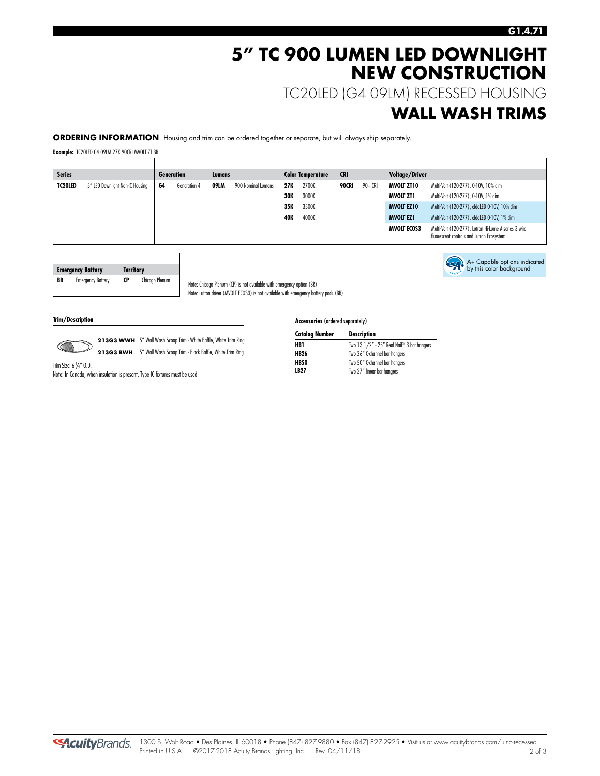# **5" TC 900 LUMEN LED DOWNLIGHT NEW CONSTRUCTION**

TC20LED (G4 09LM) RECESSED HOUSING

### **WALL WASH TRIMS**

A+ Capable options indicated by this color background

**ORDERING INFORMATION** Housing and trim can be ordered together or separate, but will always ship separately.

**Example:** TC20LED G4 09LM 27K 90CRI MVOLT ZT BR

| <b>Series</b><br><b>Generation</b> |                                 | Lumens |              | <b>Color Temperature</b> |                    | <b>CRI</b> |       | Voltage/Driver   |           |                                     |                                                                                                   |  |  |
|------------------------------------|---------------------------------|--------|--------------|--------------------------|--------------------|------------|-------|------------------|-----------|-------------------------------------|---------------------------------------------------------------------------------------------------|--|--|
| TC20LED                            | 5" LED Downlight Non-IC Housing | G4     | Generation 4 | 09LM                     | 900 Nominal Lumens | 27K        | 2700K | 90+ CRI<br>90CRI |           | MVOLT ZT10                          | Multi-Volt (120-277), 0-10V, 10% dim                                                              |  |  |
|                                    |                                 |        |              | <b>30K</b>               |                    | 3000K      |       |                  | MVOLT ZT1 | Multi-Volt (120-277), 0-10V, 1% dim |                                                                                                   |  |  |
|                                    |                                 |        |              |                          |                    | 35K        | 3500K |                  |           | <b>MVOLT EZ10</b>                   | Multi-Volt (120-277), eldoLED 0-10V, 10% dim                                                      |  |  |
|                                    |                                 |        |              |                          |                    | <b>40K</b> | 4000K |                  |           | <b>MVOLT EZ1</b>                    | Multi-Volt (120-277), eldoLED 0-10V, 1% dim                                                       |  |  |
|                                    |                                 |        |              |                          |                    |            |       |                  |           | <b>MVOLT ECOS3</b>                  | Multi-Volt (120-277), Lutron Hi-Lume A series 3 wire<br>fluorescent controls and Lutron Ecosystem |  |  |

|    | <b>Emergency Battery</b> | <b>Territory</b> |                |
|----|--------------------------|------------------|----------------|
| BR | <b>Emergency Battery</b> | CP               | Chicago Plenum |

Note: Chicago Plenum (CP) is not available with emergency option (BR) Note: Lutron driver (MVOLT ECOS3) is not available with emergency battery pack (BR)

#### **Trim/Description**



213G3 WWH 5" Wall Wash Scoop Trim - White Baffle, White Trim Ring **213G3 BWH** 5" Wall Wash Scoop Trim - Black Baffle, White Trim Ring

Trim Size: 6  $\frac{1}{4}$ " O.D. Note: In Canada, when insulation is present, Type IC fixtures must be used

#### **Accessories** (ordered separately)

| Two 13 1/2" - 25" Real Nail® 3 bar hangers |
|--------------------------------------------|
|                                            |
| Two 26" C-channel bar hangers              |
| Two 50" C-channel bar hangers              |
| Two 27" linear bar hangers                 |
|                                            |